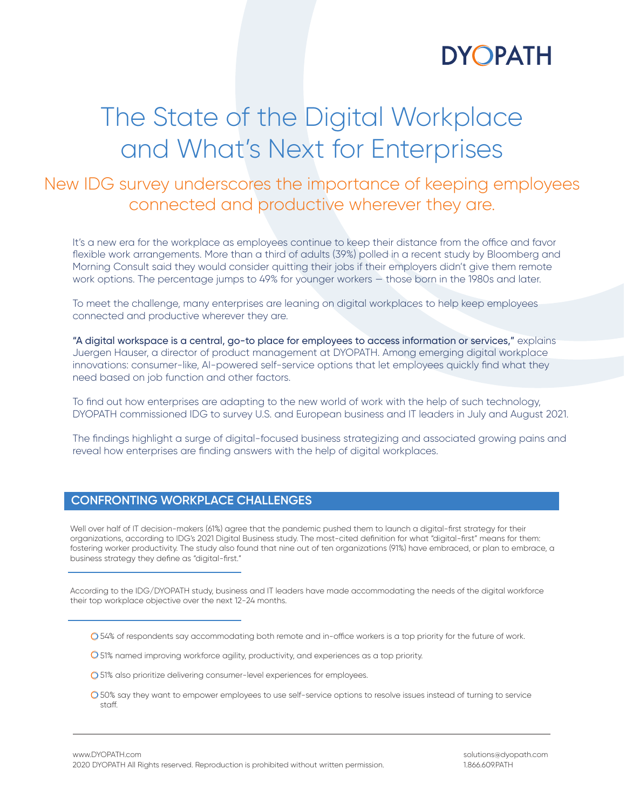

# The State of the Digital Workplace and What's Next for Enterprises

### New IDG survey underscores the importance of keeping employees connected and productive wherever they are.

It's a new era for the workplace as employees continue to keep their distance from the office and favor flexible work arrangements. More than a third of adults (39%) polled in a recent study by Bloomberg and Morning Consult said they would consider quitting their jobs if their employers didn't give them remote work options. The percentage jumps to 49% for younger workers — those born in the 1980s and later.

To meet the challenge, many enterprises are leaning on digital workplaces to help keep employees connected and productive wherever they are.

"A digital workspace is a central, go-to place for employees to access information or services," explains Juergen Hauser, a director of product management at DYOPATH. Among emerging digital workplace innovations: consumer-like, AI-powered self-service options that let employees quickly find what they need based on job function and other factors.

To find out how enterprises are adapting to the new world of work with the help of such technology, DYOPATH commissioned IDG to survey U.S. and European business and IT leaders in July and August 2021.

The findings highlight a surge of digital-focused business strategizing and associated growing pains and reveal how enterprises are finding answers with the help of digital workplaces.

#### **CONFRONTING WORKPLACE CHALLENGES**

Well over half of IT decision-makers (61%) agree that the pandemic pushed them to launch a digital-first strategy for their organizations, according to IDG's 2021 Digital Business study. The most-cited definition for what "digital-first" means for them: fostering worker productivity. The study also found that nine out of ten organizations (91%) have embraced, or plan to embrace, a business strategy they define as "digital-first."

According to the IDG/DYOPATH study, business and IT leaders have made accommodating the needs of the digital workforce their top workplace objective over the next 12-24 months.

- O 54% of respondents say accommodating both remote and in-office workers is a top priority for the future of work.
- 51% named improving workforce agility, productivity, and experiences as a top priority.
- 51% also prioritize delivering consumer-level experiences for employees.
- 50% say they want to empower employees to use self-service options to resolve issues instead of turning to service staff.